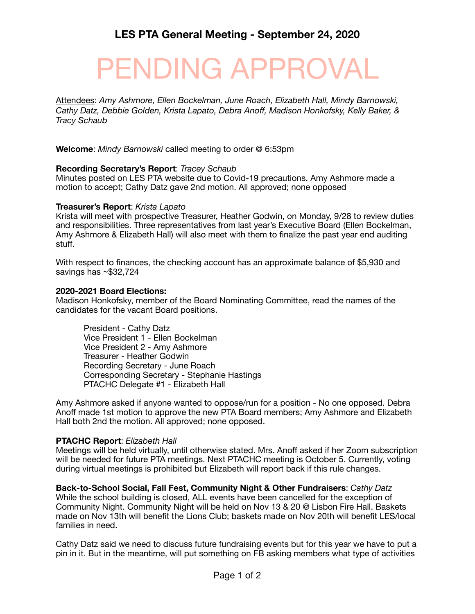# PENDING APPROVAL

Attendees: *Amy Ashmore, Ellen Bockelman, June Roach, Elizabeth Hall, Mindy Barnowski, Cathy Datz, Debbie Golden, Krista Lapato, Debra Anoff, Madison Honkofsky, Kelly Baker, & Tracy Schaub* 

**Welcome**: *Mindy Barnowski* called meeting to order @ 6:53pm

# **Recording Secretary's Report**: *Tracey Schaub*

Minutes posted on LES PTA website due to Covid-19 precautions. Amy Ashmore made a motion to accept; Cathy Datz gave 2nd motion. All approved; none opposed

### **Treasurer's Report**: *Krista Lapato*

Krista will meet with prospective Treasurer, Heather Godwin, on Monday, 9/28 to review duties and responsibilities. Three representatives from last year's Executive Board (Ellen Bockelman, Amy Ashmore & Elizabeth Hall) will also meet with them to finalize the past year end auditing stuff.

With respect to finances, the checking account has an approximate balance of \$5,930 and savings has ~\$32,724

### **2020-2021 Board Elections:**

Madison Honkofsky, member of the Board Nominating Committee, read the names of the candidates for the vacant Board positions.

President - Cathy Datz Vice President 1 - Ellen Bockelman Vice President 2 - Amy Ashmore Treasurer - Heather Godwin Recording Secretary - June Roach Corresponding Secretary - Stephanie Hastings PTACHC Delegate #1 - Elizabeth Hall

Amy Ashmore asked if anyone wanted to oppose/run for a position - No one opposed. Debra Anoff made 1st motion to approve the new PTA Board members; Amy Ashmore and Elizabeth Hall both 2nd the motion. All approved; none opposed.

### **PTACHC Report**: *Elizabeth Hall*

Meetings will be held virtually, until otherwise stated. Mrs. Anoff asked if her Zoom subscription will be needed for future PTA meetings. Next PTACHC meeting is October 5. Currently, voting during virtual meetings is prohibited but Elizabeth will report back if this rule changes.

**Back-to-School Social, Fall Fest, Community Night & Other Fundraisers**: *Cathy Datz*  While the school building is closed, ALL events have been cancelled for the exception of Community Night. Community Night will be held on Nov 13 & 20 @ Lisbon Fire Hall. Baskets made on Nov 13th will benefit the Lions Club; baskets made on Nov 20th will benefit LES/local families in need.

Cathy Datz said we need to discuss future fundraising events but for this year we have to put a pin in it. But in the meantime, will put something on FB asking members what type of activities